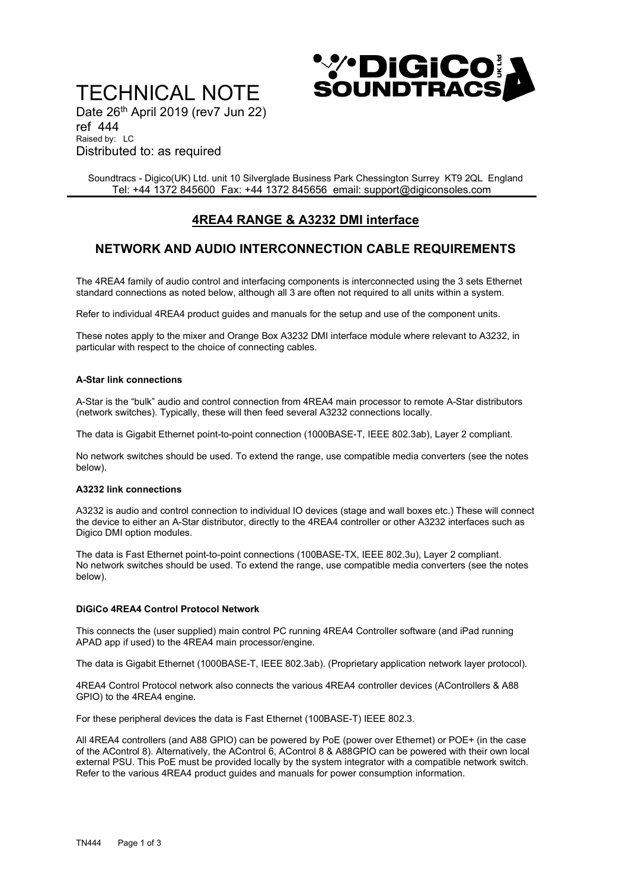# TECHNICAL NOTE



Date 26<sup>th</sup> April 2019 (rev7 Jun 22) ref 444

Raised by: LC Distributed to: as required

Soundtracs - Digico(UK) Ltd. unit 10 Silverglade Business Park Chessington Surrey KT9 2QL England Tel: +44 1372 845600 Fax: +44 1372 845656 email: support@digiconsoles.com

# 4REA4 RANGE & A3232 DMI interface

# NETWORK AND AUDIO INTERCONNECTION CABLE REQUIREMENTS

The 4REA4 family of audio control and interfacing components is interconnected using the 3 sets Ethernet standard connections as noted below, although all 3 are often not required to all units within a system.

Refer to individual 4REA4 product guides and manuals for the setup and use of the component units.

These notes apply to the mixer and Orange Box A3232 DMI interface module where relevant to A3232, in particular with respect to the choice of connecting cables.

## A-Star link connections

A-Star is the "bulk" audio and control connection from 4REA4 main processor to remote A-Star distributors (network switches). Typically, these will then feed several A3232 connections locally.

The data is Gigabit Ethernet point-to-point connection (1000BASE-T, IEEE 802.3ab), Layer 2 compliant.

No network switches should be used. To extend the range, use compatible media converters (see the notes below).

### A3232 link connections

A3232 is audio and control connection to individual IO devices (stage and wall boxes etc.) These will connect the device to either an A-Star distributor, directly to the 4REA4 controller or other A3232 interfaces such as Digico DMI option modules.

The data is Fast Ethernet point-to-point connections (100BASE-TX, IEEE 802.3u), Layer 2 compliant. No network switches should be used. To extend the range, use compatible media converters (see the notes below).

# DiGiCo 4REA4 Control Protocol Network

This connects the (user supplied) main control PC running 4REA4 Controller software (and iPad running APAD app if used) to the 4REA4 main processor/engine.

The data is Gigabit Ethernet (1000BASE-T, IEEE 802.3ab). (Proprietary application network layer protocol).

4REA4 Control Protocol network also connects the various 4REA4 controller devices (AControllers & A88 GPIO) to the 4REA4 engine.

For these peripheral devices the data is Fast Ethernet (100BASE-T) IEEE 802.3.

All 4REA4 controllers (and A88 GPIO) can be powered by PoE (power over Ethernet) or POE+ (in the case of the AControl 8). Alternatively, the AControl 6, AControl 8 & A88GPIO can be powered with their own local external PSU. This PoE must be provided locally by the system integrator with a compatible network switch. Refer to the various 4REA4 product guides and manuals for power consumption information.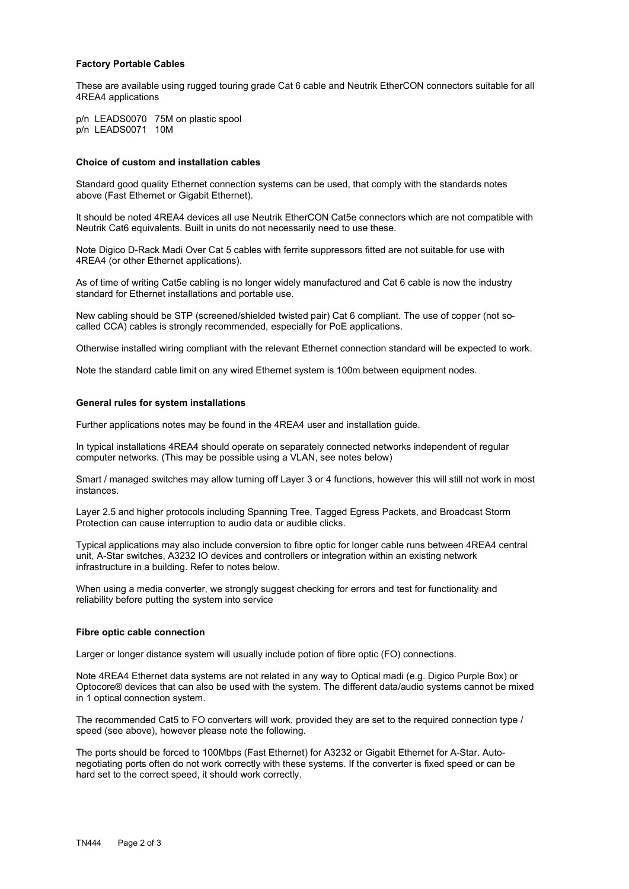#### Factory Portable Cables

These are available using rugged touring grade Cat 6 cable and Neutrik EtherCON connectors suitable for all 4REA4 applications

p/n LEADS0070 75M on plastic spool p/n LEADS0071 10M

#### Choice of custom and installation cables

Standard good quality Ethernet connection systems can be used, that comply with the standards notes above (Fast Ethernet or Gigabit Ethernet).

It should be noted 4REA4 devices all use Neutrik EtherCON Cat5e connectors which are not compatible with Neutrik Cat6 equivalents. Built in units do not necessarily need to use these.

Note Digico D-Rack Madi Over Cat 5 cables with ferrite suppressors fitted are not suitable for use with 4REA4 (or other Ethernet applications).

As of time of writing Cat5e cabling is no longer widely manufactured and Cat 6 cable is now the industry standard for Ethernet installations and portable use.

New cabling should be STP (screened/shielded twisted pair) Cat 6 compliant. The use of copper (not socalled CCA) cables is strongly recommended, especially for PoE applications.

Otherwise installed wiring compliant with the relevant Ethernet connection standard will be expected to work.

Note the standard cable limit on any wired Ethernet system is 100m between equipment nodes.

#### General rules for system installations

Further applications notes may be found in the 4REA4 user and installation guide.

In typical installations 4REA4 should operate on separately connected networks independent of regular computer networks. (This may be possible using a VLAN, see notes below)

Smart / managed switches may allow turning off Layer 3 or 4 functions, however this will still not work in most instances.

Layer 2.5 and higher protocols including Spanning Tree, Tagged Egress Packets, and Broadcast Storm Protection can cause interruption to audio data or audible clicks.

Typical applications may also include conversion to fibre optic for longer cable runs between 4REA4 central unit, A-Star switches, A3232 IO devices and controllers or integration within an existing network infrastructure in a building. Refer to notes below.

When using a media converter, we strongly suggest checking for errors and test for functionality and reliability before putting the system into service

#### Fibre optic cable connection

Larger or longer distance system will usually include potion of fibre optic (FO) connections.

Note 4REA4 Ethernet data systems are not related in any way to Optical madi (e.g. Digico Purple Box) or Optocore® devices that can also be used with the system. The different data/audio systems cannot be mixed in 1 optical connection system.

The recommended Cat5 to FO converters will work, provided they are set to the required connection type / speed (see above), however please note the following.

The ports should be forced to 100Mbps (Fast Ethernet) for A3232 or Gigabit Ethernet for A-Star. Autonegotiating ports often do not work correctly with these systems. If the converter is fixed speed or can be hard set to the correct speed, it should work correctly.